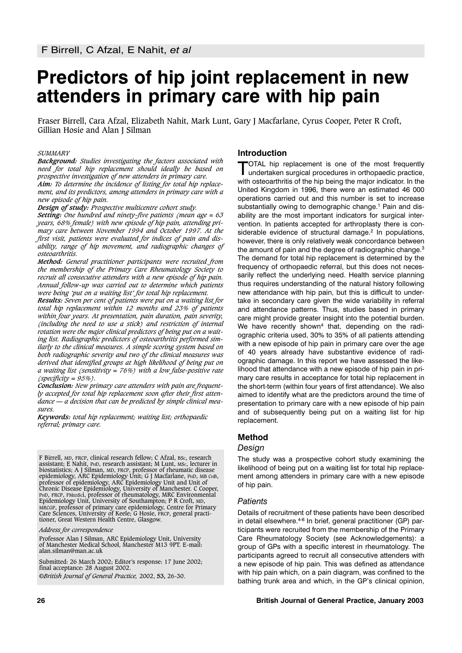# **Predictors of hip joint replacement in new attenders in primary care with hip pain**

Fraser Birrell, Cara Afzal, Elizabeth Nahit, Mark Lunt, Gary J Macfarlane, Cyrus Cooper, Peter R Croft, Gillian Hosie and Alan J Silman

#### *SUMMARY*

*Background: Studies investigating the factors associated with need for total hip replacement should ideally be based on prospective investigation of new attenders in primary care.*

*Aim: To determine the incidence of listing for total hip replacement, and its predictors, among attenders in primary care with a new episode of hip pain.*

*Design of study: Prospective multicentre cohort study.*

*Setting: One hundred and ninety-five patients (mean age = 63 years, 68% female) with new episode of hip pain, attending primary care between November 1994 and October 1997. At the first visit, patients were evaluated for indices of pain and disability, range of hip movement, and radiographic changes of osteoarthritis.*

*Method: General practitioner participants were recruited from the membership of the Primary Care Rheumatology Society to recruit all consecutive attenders with a new episode of hip pain. Annual follow-up was carried out to determine which patients were being 'put on a waiting list' for total hip replacement.*

*Results: Seven per cent of patients were put on a waiting list for total hip replacement within 12 months and 23% of patients within four years. At presentation, pain duration, pain severity, (including the need to use a stick) and restriction of internal rotation were the major clinical predictors of being put on a waiting list. Radiographic predictors of osteoarthritis performed similarly to the clinical measures. A simple scoring system based on both radiographic severity and two of the clinical measures was derived that identified groups at high likelihood of being put on a waiting list (sensitivity = 76%) with a low false-positive rate (specificity = 95%).*

*Conclusion: New primary care attenders with pain are frequently accepted for total hip replacement soon after their first attendance — a decision that can be predicted by simple clinical measures.*

*Keywords: total hip replacement; waiting list; orthopaedic referral; primary care.*

F Birrell, MD, FRCP, clinical research fellow; C Afzal, BSc, research assistant; E Nahit, PHD, research assistant; M Lunt, MSc, lecturer in assistant; E Nahit, PHD, research assistant; M Lunt, мsc, lecturer in<br>biostatistics; A J Silman, мD, FRCP, professor of rheumatic disease<br>epidemiology, ARC Epidemiology Unit; G J Macfarlane, PHD, мB СНВ, professor of epidemiology, ARC Epidemiology Unit and Unit of Chronic Disease Epidemiology, University of Manchester. C Cooper, PHD, FRCP, FMEDSCi, professor of rheumatology, MRC Environmental Epidemiology Unit, University of Southampton; P R Croft, MD, MRCGP, professor of primary care epidemiology, Centre for Primary Care Sciences, University of Keele; G Hosie, FRCP, general practitioner, Great Western Health Centre, Glasgow*.*

*Address for correspondence*

Professor Alan J Silman, ARC Epidemiology Unit, University of Manchester Medical School, Manchester M13 9PT. E-mail: alan.silman@man.ac.uk

Submitted: 26 March 2002; Editor's response: 17 June 2002; final acceptance: 28 August 2002. ©*British Journal of General Practice,* 2002, **53,** 26-30.

## **Introduction**

TOTAL hip replacement is one of the most frequently<br>undertaken surgical procedures in orthopaedic practice, with osteoarthritis of the hip being the major indicator. In the United Kingdom in 1996, there were an estimated 46 000 operations carried out and this number is set to increase substantially owing to demographic change.<sup>1</sup> Pain and disability are the most important indicators for surgical intervention. In patients accepted for arthroplasty there is considerable evidence of structural damage.<sup>2</sup> In populations, however, there is only relatively weak concordance between the amount of pain and the degree of radiographic change.<sup>3</sup> The demand for total hip replacement is determined by the frequency of orthopaedic referral, but this does not necessarily reflect the underlying need. Health service planning thus requires understanding of the natural history following new attendance with hip pain, but this is difficult to undertake in secondary care given the wide variability in referral and attendance patterns. Thus, studies based in primary care might provide greater insight into the potential burden. We have recently shown<sup>4</sup> that, depending on the radiographic criteria used, 30% to 35% of all patients attending with a new episode of hip pain in primary care over the age of 40 years already have substantive evidence of radiographic damage. In this report we have assessed the likelihood that attendance with a new episode of hip pain in primary care results in acceptance for total hip replacement in the short-term (within four years of first attendance). We also aimed to identify what are the predictors around the time of presentation to primary care with a new episode of hip pain and of subsequently being put on a waiting list for hip replacement.

## **Method**

## *Design*

The study was a prospective cohort study examining the likelihood of being put on a waiting list for total hip replacement among attenders in primary care with a new episode of hip pain.

## *Patients*

Details of recruitment of these patients have been described in detail elsewhere.<sup>4-6</sup> In brief, general practitioner (GP) participants were recruited from the membership of the Primary Care Rheumatology Society (see Acknowledgements): a group of GPs with a specific interest in rheumatology. The participants agreed to recruit all consecutive attenders with a new episode of hip pain. This was defined as attendance with hip pain which, on a pain diagram, was confined to the bathing trunk area and which, in the GP's clinical opinion,

#### **26 British Journal of General Practice, January 2003**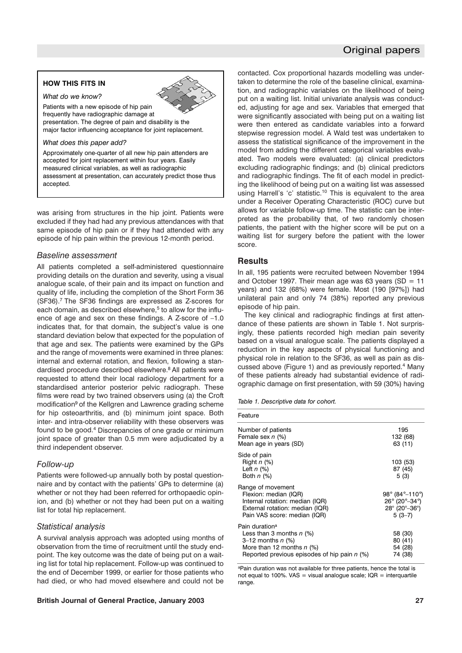# Original papers

#### **HOW THIS FITS IN**

*What do we know?* 

Patients with a new episode of hip pain frequently have radiographic damage at presentation. The degree of pain and disability is the major factor influencing acceptance for joint replacement.

*What does this paper add?*

Approximately one-quarter of all new hip pain attenders are accepted for joint replacement within four years. Easily measured clinical variables, as well as radiographic assessment at presentation, can accurately predict those thus accepted.

was arising from structures in the hip joint. Patients were excluded if they had had any previous attendances with that same episode of hip pain or if they had attended with any episode of hip pain within the previous 12-month period.

#### *Baseline assessment*

All patients completed a self-administered questionnaire providing details on the duration and severity, using a visual analogue scale, of their pain and its impact on function and quality of life, including the completion of the Short Form 36 (SF36).7 The SF36 findings are expressed as Z-scores for each domain, as described elsewhere,<sup>5</sup> to allow for the influence of age and sex on these findings. A Z-score of –1.0 indicates that, for that domain, the subject's value is one standard deviation below that expected for the population of that age and sex. The patients were examined by the GPs and the range of movements were examined in three planes: internal and external rotation, and flexion, following a standardised procedure described elsewhere.8 All patients were requested to attend their local radiology department for a standardised anterior posterior pelvic radiograph. These films were read by two trained observers using (a) the Croft modification<sup>9</sup> of the Kellgren and Lawrence grading scheme for hip osteoarthritis, and (b) minimum joint space. Both inter- and intra-observer reliability with these observers was found to be good.4 Discrepancies of one grade or minimum joint space of greater than 0.5 mm were adjudicated by a third independent observer.

## *Follow-up*

Patients were followed-up annually both by postal questionnaire and by contact with the patients' GPs to determine (a) whether or not they had been referred for orthopaedic opinion, and (b) whether or not they had been put on a waiting list for total hip replacement.

#### *Statistical analysis*

A survival analysis approach was adopted using months of observation from the time of recruitment until the study endpoint. The key outcome was the date of being put on a waiting list for total hip replacement. Follow-up was continued to the end of December 1999, or earlier for those patients who had died, or who had moved elsewhere and could not be

#### **British Journal of General Practice, January 2003 27**

contacted. Cox proportional hazards modelling was undertaken to determine the role of the baseline clinical, examination, and radiographic variables on the likelihood of being put on a waiting list. Initial univariate analysis was conducted, adjusting for age and sex. Variables that emerged that were significantly associated with being put on a waiting list were then entered as candidate variables into a forward stepwise regression model. A Wald test was undertaken to assess the statistical significance of the improvement in the model from adding the different categorical variables evaluated. Two models were evaluated: (a) clinical predictors excluding radiographic findings; and (b) clinical predictors and radiographic findings. The fit of each model in predicting the likelihood of being put on a waiting list was assessed using Harrell's 'c' statistic.<sup>10</sup> This is equivalent to the area under a Receiver Operating Characteristic (ROC) curve but allows for variable follow-up time. The statistic can be interpreted as the probability that, of two randomly chosen patients, the patient with the higher score will be put on a waiting list for surgery before the patient with the lower score.

#### **Results**

In all, 195 patients were recruited between November 1994 and October 1997. Their mean age was 63 years (SD =  $11$ years) and 132 (68%) were female. Most (190 [97%]) had unilateral pain and only 74 (38%) reported any previous episode of hip pain.

The key clinical and radiographic findings at first attendance of these patients are shown in Table 1. Not surprisingly, these patients recorded high median pain severity based on a visual analogue scale. The patients displayed a reduction in the key aspects of physical functioning and physical role in relation to the SF36, as well as pain as discussed above (Figure 1) and as previously reported.<sup>4</sup> Many of these patients already had substantial evidence of radiographic damage on first presentation, with 59 (30%) having

*Table 1. Descriptive data for cohort.*

| Feature                                                                                                                                                          |                                                                                                                            |
|------------------------------------------------------------------------------------------------------------------------------------------------------------------|----------------------------------------------------------------------------------------------------------------------------|
| Number of patients<br>Female sex n (%)<br>Mean age in years (SD)                                                                                                 | 195<br>132 (68)<br>63 (11)                                                                                                 |
| Side of pain<br>Right $n$ (%)<br>Left $n$ $(\%)$<br>Both $n$ (%)                                                                                                 | 103 (53)<br>87 (45)<br>5(3)                                                                                                |
| Range of movement<br>Flexion: median (IQR)<br>Internal rotation: median (IQR)<br>External rotation: median (IQR)<br>Pain VAS score: median (IQR)                 | 98° (84°–110°)<br>$26^{\circ}$ (20 $^{\circ}$ -34 $^{\circ}$ )<br>$28^{\circ}$ (20 $^{\circ}$ -36 $^{\circ}$ )<br>$5(3-7)$ |
| Pain duration <sup>a</sup><br>Less than 3 months $n$ (%)<br>3–12 months $n$ (%)<br>More than 12 months $n$ (%)<br>Reported previous episodes of hip pain $n$ (%) | 58 (30)<br>80 (41)<br>54 (28)<br>74 (38)                                                                                   |

<sup>a</sup>Pain duration was not available for three patients, hence the total is not equal to 100%. VAS = visual analogue scale;  $IOR =$  interquartile range.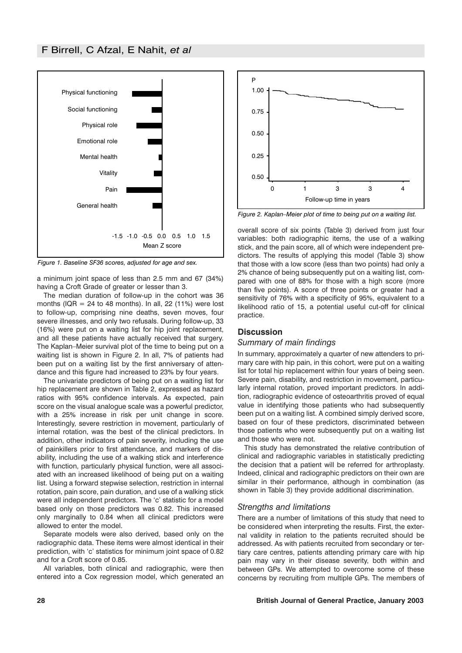

*Figure 1. Baseline SF36 scores, adjusted for age and sex.*

a minimum joint space of less than 2.5 mm and 67 (34%) having a Croft Grade of greater or lesser than 3.

The median duration of follow-up in the cohort was 36 months (IQR =  $24$  to 48 months). In all, 22 (11%) were lost to follow-up, comprising nine deaths, seven moves, four severe illnesses, and only two refusals. During follow-up, 33 (16%) were put on a waiting list for hip joint replacement, and all these patients have actually received that surgery. The Kaplan–Meier survival plot of the time to being put on a waiting list is shown in Figure 2. In all, 7% of patients had been put on a waiting list by the first anniversary of attendance and this figure had increased to 23% by four years.

The univariate predictors of being put on a waiting list for hip replacement are shown in Table 2, expressed as hazard ratios with 95% confidence intervals. As expected, pain score on the visual analogue scale was a powerful predictor, with a 25% increase in risk per unit change in score. Interestingly, severe restriction in movement, particularly of internal rotation, was the best of the clinical predictors. In addition, other indicators of pain severity, including the use of painkillers prior to first attendance, and markers of disability, including the use of a walking stick and interference with function, particularly physical function, were all associated with an increased likelihood of being put on a waiting list. Using a forward stepwise selection, restriction in internal rotation, pain score, pain duration, and use of a walking stick were all independent predictors. The 'c' statistic for a model based only on those predictors was 0.82. This increased only marginally to 0.84 when all clinical predictors were allowed to enter the model.

Separate models were also derived, based only on the radiographic data. These items were almost identical in their prediction, with 'c' statistics for minimum joint space of 0.82 and for a Croft score of 0.85.

All variables, both clinical and radiographic, were then entered into a Cox regression model, which generated an



*Figure 2. Kaplan–Meier plot of time to being put on a waiting list.*

overall score of six points (Table 3) derived from just four variables: both radiographic items, the use of a walking stick, and the pain score, all of which were independent predictors. The results of applying this model (Table 3) show that those with a low score (less than two points) had only a 2% chance of being subsequently put on a waiting list, compared with one of 88% for those with a high score (more than five points). A score of three points or greater had a sensitivity of 76% with a specificity of 95%, equivalent to a likelihood ratio of 15, a potential useful cut-off for clinical practice.

## **Discussion**

## *Summary of main findings*

In summary, approximately a quarter of new attenders to primary care with hip pain, in this cohort, were put on a waiting list for total hip replacement within four years of being seen. Severe pain, disability, and restriction in movement, particularly internal rotation, proved important predictors. In addition, radiographic evidence of osteoarthritis proved of equal value in identifying those patients who had subsequently been put on a waiting list. A combined simply derived score, based on four of these predictors, discriminated between those patients who were subsequently put on a waiting list and those who were not.

This study has demonstrated the relative contribution of clinical and radiographic variables in statistically predicting the decision that a patient will be referred for arthroplasty. Indeed, clinical and radiographic predictors on their own are similar in their performance, although in combination (as shown in Table 3) they provide additional discrimination.

## *Strengths and limitations*

There are a number of limitations of this study that need to be considered when interpreting the results. First, the external validity in relation to the patients recruited should be addressed. As with patients recruited from secondary or tertiary care centres, patients attending primary care with hip pain may vary in their disease severity, both within and between GPs. We attempted to overcome some of these concerns by recruiting from multiple GPs. The members of

#### **28 British Journal of General Practice, January 2003**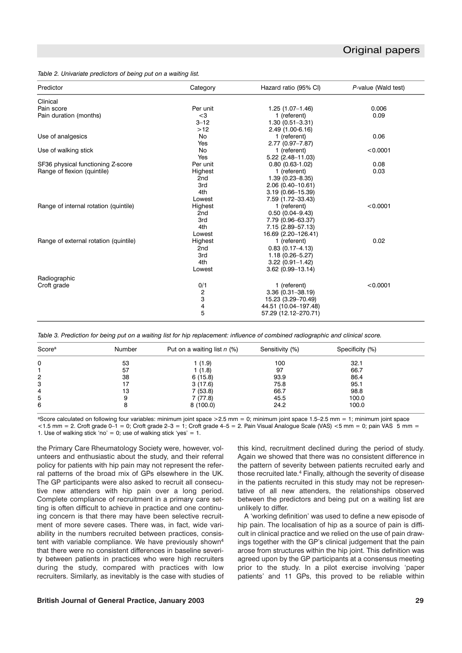#### *Table 2. Univariate predictors of being put on a waiting list.*

| Predictor                             | Category        | Hazard ratio (95% CI)  | P-value (Wald test) |
|---------------------------------------|-----------------|------------------------|---------------------|
| Clinical                              |                 |                        |                     |
| Pain score                            | Per unit        | $1.25(1.07-1.46)$      | 0.006               |
| Pain duration (months)                | $<$ 3           | 1 (referent)           | 0.09                |
|                                       | $3 - 12$        | $1.30(0.51 - 3.31)$    |                     |
|                                       | $>12$           | 2.49 (1.00-6.16)       |                     |
| Use of analgesics                     | No              | 1 (referent)           | 0.06                |
|                                       | Yes             | $2.77(0.97 - 7.87)$    |                     |
| Use of walking stick                  | <b>No</b>       | 1 (referent)           | < 0.0001            |
|                                       | Yes             | 5.22 (2.48-11.03)      |                     |
| SF36 physical functioning Z-score     | Per unit        | $0.80(0.63-1.02)$      | 0.08                |
| Range of flexion (quintile)           | Highest         | 1 (referent)           | 0.03                |
|                                       | 2 <sub>nd</sub> | $1.39(0.23 - 8.35)$    |                     |
|                                       | 3rd             | 2.06 (0.40-10.61)      |                     |
|                                       | 4th             | $3.19(0.66 - 15.39)$   |                     |
|                                       | Lowest          | 7.59 (1.72-33.43)      |                     |
| Range of internal rotation (quintile) | Highest         | 1 (referent)           | < 0.0001            |
|                                       | 2 <sub>nd</sub> | $0.50(0.04 - 9.43)$    |                     |
|                                       | 3rd             | 7.79 (0.96-63.37)      |                     |
|                                       | 4th             | 7.15 (2.89-57.13)      |                     |
|                                       | Lowest          | 16.69 (2.20-126.41)    |                     |
| Range of external rotation (quintile) | Highest         | 1 (referent)           | 0.02                |
|                                       | 2 <sub>nd</sub> | $0.83$ $(0.17 - 4.13)$ |                     |
|                                       | 3rd             | $1.18(0.26 - 5.27)$    |                     |
|                                       | 4th             | $3.22(0.91 - 1.42)$    |                     |
|                                       | Lowest          | $3.62(0.99 - 13.14)$   |                     |
|                                       |                 |                        |                     |
| Radiographic                          |                 |                        | < 0.0001            |
| Croft grade                           | 0/1             | 1 (referent)           |                     |
|                                       | $\frac{2}{3}$   | $3.36(0.31 - 38.19)$   |                     |
|                                       |                 | 15.23 (3.29-70.49)     |                     |
|                                       | 4               | 44.51 (10.04-197.48)   |                     |
|                                       | 5               | 57.29 (12.12-270.71)   |                     |

*Table 3. Prediction for being put on a waiting list for hip replacement: influence of combined radiographic and clinical score.*

| Score <sup>a</sup> | Number | Put on a waiting list n (%) | Sensitivity (%) | Specificity (%) |  |
|--------------------|--------|-----------------------------|-----------------|-----------------|--|
| 0                  | 53     | 1 (1.9)                     | 100             | 32.1            |  |
|                    | 57     | 1(1.8)                      | 97              | 66.7            |  |
| 2                  | 38     | 6(15.8)                     | 93.9            | 86.4            |  |
| 3                  |        | 3(17.6)                     | 75.8            | 95.1            |  |
| 4                  | 13     | 7(53.8)                     | 66.7            | 98.8            |  |
| 5                  |        | 7(77.8)                     | 45.5            | 100.0           |  |
| 6                  |        | 8(100.0)                    | 24.2            | 100.0           |  |

aScore calculated on following four variables: minimum joint space >2.5 mm = 0; minimum joint space 1.5–2.5 mm = 1; minimum joint space  $-1.5$  mm = 2. Croft grade  $0-1 = 0$ ; Croft grade  $2-3 = 1$ ; Croft grade  $4-5 = 2$ . Pain Visual Analogue Scale (VAS)  $<$  5 mm = 0; pain VAS 5 mm = 1. Use of walking stick 'no' = 0; use of walking stick 'yes' = 1.

the Primary Care Rheumatology Society were, however, volunteers and enthusiastic about the study, and their referral policy for patients with hip pain may not represent the referral patterns of the broad mix of GPs elsewhere in the UK. The GP participants were also asked to recruit all consecutive new attenders with hip pain over a long period. Complete compliance of recruitment in a primary care setting is often difficult to achieve in practice and one continuing concern is that there may have been selective recruitment of more severe cases. There was, in fact, wide variability in the numbers recruited between practices, consistent with variable compliance. We have previously shown<sup>4</sup> that there were no consistent differences in baseline severity between patients in practices who were high recruiters during the study, compared with practices with low recruiters. Similarly, as inevitably is the case with studies of this kind, recruitment declined during the period of study. Again we showed that there was no consistent difference in the pattern of severity between patients recruited early and those recruited late.4 Finally, although the severity of disease in the patients recruited in this study may not be representative of all new attenders, the relationships observed between the predictors and being put on a waiting list are unlikely to differ.

A 'working definition' was used to define a new episode of hip pain. The localisation of hip as a source of pain is difficult in clinical practice and we relied on the use of pain drawings together with the GP's clinical judgement that the pain arose from structures within the hip joint. This definition was agreed upon by the GP participants at a consensus meeting prior to the study. In a pilot exercise involving 'paper patients' and 11 GPs, this proved to be reliable within

#### **British Journal of General Practice, January 2003 29**